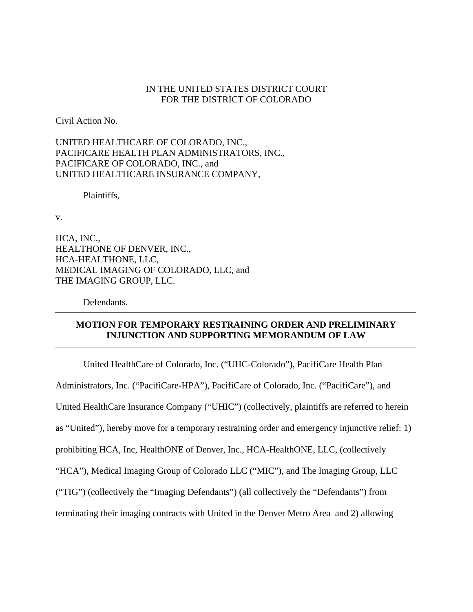## IN THE UNITED STATES DISTRICT COURT FOR THE DISTRICT OF COLORADO

Civil Action No.

UNITED HEALTHCARE OF COLORADO, INC., PACIFICARE HEALTH PLAN ADMINISTRATORS, INC., PACIFICARE OF COLORADO, INC., and UNITED HEALTHCARE INSURANCE COMPANY,

Plaintiffs,

v.

HCA, INC., HEALTHONE OF DENVER, INC., HCA-HEALTHONE, LLC, MEDICAL IMAGING OF COLORADO, LLC, and THE IMAGING GROUP, LLC.

Defendants.

# **MOTION FOR TEMPORARY RESTRAINING ORDER AND PRELIMINARY INJUNCTION AND SUPPORTING MEMORANDUM OF LAW**

 United HealthCare of Colorado, Inc. ("UHC-Colorado"), PacifiCare Health Plan Administrators, Inc. ("PacifiCare-HPA"), PacifiCare of Colorado, Inc. ("PacifiCare"), and United HealthCare Insurance Company ("UHIC") (collectively, plaintiffs are referred to herein as "United"), hereby move for a temporary restraining order and emergency injunctive relief: 1) prohibiting HCA, Inc, HealthONE of Denver, Inc., HCA-HealthONE, LLC, (collectively "HCA"), Medical Imaging Group of Colorado LLC ("MIC"), and The Imaging Group, LLC ("TIG") (collectively the "Imaging Defendants") (all collectively the "Defendants") from terminating their imaging contracts with United in the Denver Metro Area and 2) allowing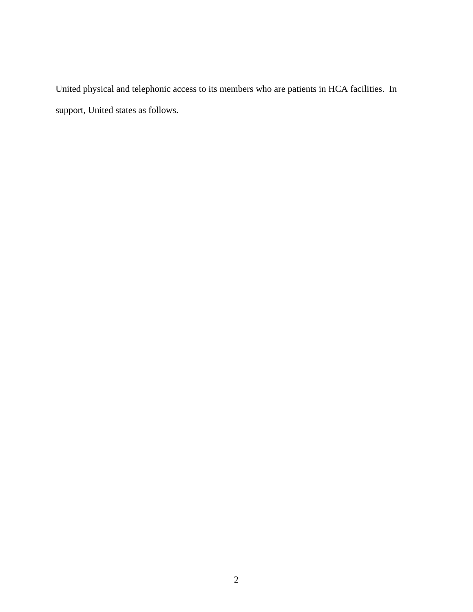United physical and telephonic access to its members who are patients in HCA facilities. In support, United states as follows.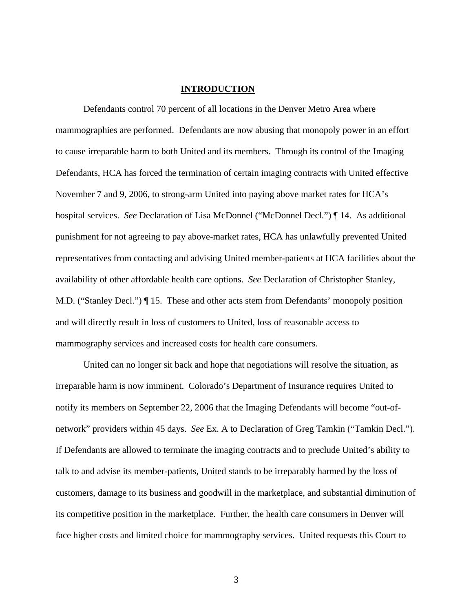#### **INTRODUCTION**

 Defendants control 70 percent of all locations in the Denver Metro Area where mammographies are performed. Defendants are now abusing that monopoly power in an effort to cause irreparable harm to both United and its members. Through its control of the Imaging Defendants, HCA has forced the termination of certain imaging contracts with United effective November 7 and 9, 2006, to strong-arm United into paying above market rates for HCA's hospital services. *See* Declaration of Lisa McDonnel ("McDonnel Decl.") ¶ 14. As additional punishment for not agreeing to pay above-market rates, HCA has unlawfully prevented United representatives from contacting and advising United member-patients at HCA facilities about the availability of other affordable health care options. *See* Declaration of Christopher Stanley, M.D. ("Stanley Decl.") ¶ 15. These and other acts stem from Defendants' monopoly position and will directly result in loss of customers to United, loss of reasonable access to mammography services and increased costs for health care consumers.

United can no longer sit back and hope that negotiations will resolve the situation, as irreparable harm is now imminent. Colorado's Department of Insurance requires United to notify its members on September 22, 2006 that the Imaging Defendants will become "out-ofnetwork" providers within 45 days. *See* Ex. A to Declaration of Greg Tamkin ("Tamkin Decl."). If Defendants are allowed to terminate the imaging contracts and to preclude United's ability to talk to and advise its member-patients, United stands to be irreparably harmed by the loss of customers, damage to its business and goodwill in the marketplace, and substantial diminution of its competitive position in the marketplace. Further, the health care consumers in Denver will face higher costs and limited choice for mammography services. United requests this Court to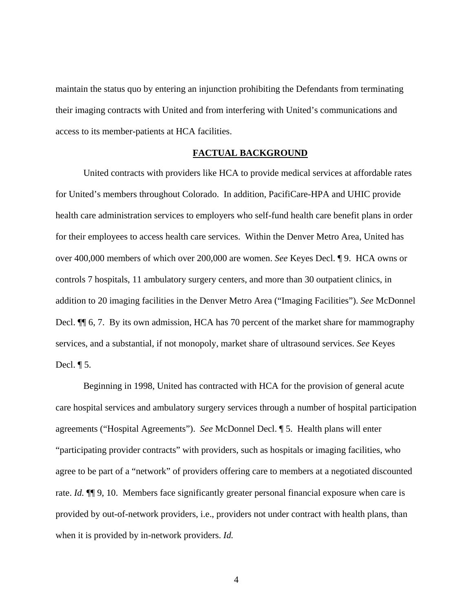maintain the status quo by entering an injunction prohibiting the Defendants from terminating their imaging contracts with United and from interfering with United's communications and access to its member-patients at HCA facilities.

## **FACTUAL BACKGROUND**

United contracts with providers like HCA to provide medical services at affordable rates for United's members throughout Colorado. In addition, PacifiCare-HPA and UHIC provide health care administration services to employers who self-fund health care benefit plans in order for their employees to access health care services. Within the Denver Metro Area, United has over 400,000 members of which over 200,000 are women. *See* Keyes Decl. ¶ 9. HCA owns or controls 7 hospitals, 11 ambulatory surgery centers, and more than 30 outpatient clinics, in addition to 20 imaging facilities in the Denver Metro Area ("Imaging Facilities"). *See* McDonnel Decl.  $\P$  6, 7. By its own admission, HCA has 70 percent of the market share for mammography services, and a substantial, if not monopoly, market share of ultrasound services. *See* Keyes Decl.  $\P$  5.

Beginning in 1998, United has contracted with HCA for the provision of general acute care hospital services and ambulatory surgery services through a number of hospital participation agreements ("Hospital Agreements"). *See* McDonnel Decl. ¶ 5. Health plans will enter "participating provider contracts" with providers, such as hospitals or imaging facilities, who agree to be part of a "network" of providers offering care to members at a negotiated discounted rate. *Id.* ¶¶ 9, 10. Members face significantly greater personal financial exposure when care is provided by out-of-network providers, i.e., providers not under contract with health plans, than when it is provided by in-network providers. *Id.*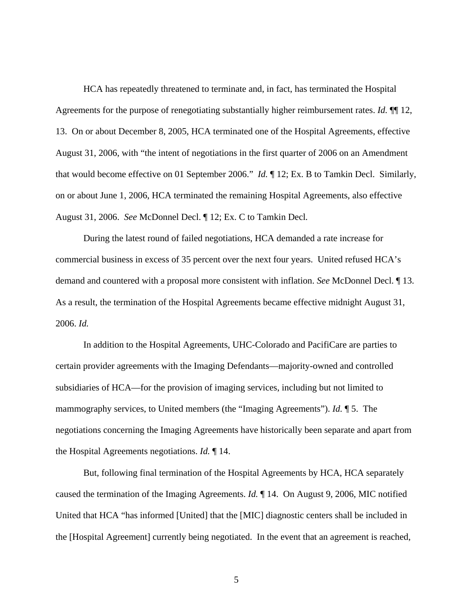HCA has repeatedly threatened to terminate and, in fact, has terminated the Hospital Agreements for the purpose of renegotiating substantially higher reimbursement rates. *Id.* ¶¶ 12, 13. On or about December 8, 2005, HCA terminated one of the Hospital Agreements, effective August 31, 2006, with "the intent of negotiations in the first quarter of 2006 on an Amendment that would become effective on 01 September 2006." *Id.* ¶ 12; Ex. B to Tamkin Decl. Similarly, on or about June 1, 2006, HCA terminated the remaining Hospital Agreements, also effective August 31, 2006. *See* McDonnel Decl. ¶ 12; Ex. C to Tamkin Decl*.*

During the latest round of failed negotiations, HCA demanded a rate increase for commercial business in excess of 35 percent over the next four years. United refused HCA's demand and countered with a proposal more consistent with inflation. *See* McDonnel Decl. ¶ 13. As a result, the termination of the Hospital Agreements became effective midnight August 31, 2006. *Id.*

In addition to the Hospital Agreements, UHC-Colorado and PacifiCare are parties to certain provider agreements with the Imaging Defendants—majority-owned and controlled subsidiaries of HCA—for the provision of imaging services, including but not limited to mammography services, to United members (the "Imaging Agreements"). *Id.* ¶ 5. The negotiations concerning the Imaging Agreements have historically been separate and apart from the Hospital Agreements negotiations. *Id.* ¶ 14.

But, following final termination of the Hospital Agreements by HCA, HCA separately caused the termination of the Imaging Agreements. *Id.* ¶ 14. On August 9, 2006, MIC notified United that HCA "has informed [United] that the [MIC] diagnostic centers shall be included in the [Hospital Agreement] currently being negotiated. In the event that an agreement is reached,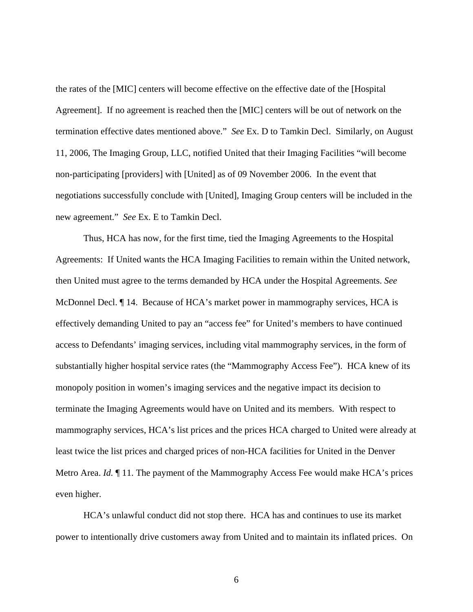the rates of the [MIC] centers will become effective on the effective date of the [Hospital Agreement]. If no agreement is reached then the [MIC] centers will be out of network on the termination effective dates mentioned above." *See* Ex. D to Tamkin Decl. Similarly, on August 11, 2006, The Imaging Group, LLC, notified United that their Imaging Facilities "will become non-participating [providers] with [United] as of 09 November 2006. In the event that negotiations successfully conclude with [United], Imaging Group centers will be included in the new agreement." *See* Ex. E to Tamkin Decl.

Thus, HCA has now, for the first time, tied the Imaging Agreements to the Hospital Agreements: If United wants the HCA Imaging Facilities to remain within the United network, then United must agree to the terms demanded by HCA under the Hospital Agreements. *See* McDonnel Decl. ¶ 14. Because of HCA's market power in mammography services, HCA is effectively demanding United to pay an "access fee" for United's members to have continued access to Defendants' imaging services, including vital mammography services, in the form of substantially higher hospital service rates (the "Mammography Access Fee"). HCA knew of its monopoly position in women's imaging services and the negative impact its decision to terminate the Imaging Agreements would have on United and its members. With respect to mammography services, HCA's list prices and the prices HCA charged to United were already at least twice the list prices and charged prices of non-HCA facilities for United in the Denver Metro Area. *Id.* ¶ 11. The payment of the Mammography Access Fee would make HCA's prices even higher.

HCA's unlawful conduct did not stop there. HCA has and continues to use its market power to intentionally drive customers away from United and to maintain its inflated prices. On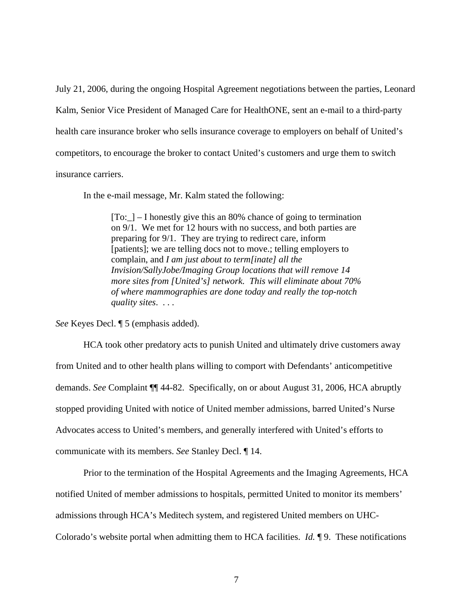July 21, 2006, during the ongoing Hospital Agreement negotiations between the parties, Leonard Kalm, Senior Vice President of Managed Care for HealthONE, sent an e-mail to a third-party health care insurance broker who sells insurance coverage to employers on behalf of United's competitors, to encourage the broker to contact United's customers and urge them to switch insurance carriers.

In the e-mail message, Mr. Kalm stated the following:

 $[T<sub>O</sub>:$  – I honestly give this an 80% chance of going to termination on 9/1. We met for 12 hours with no success, and both parties are preparing for 9/1. They are trying to redirect care, inform [patients]; we are telling docs not to move.; telling employers to complain, and *I am just about to term[inate] all the Invision/SallyJobe/Imaging Group locations that will remove 14 more sites from [United's] network. This will eliminate about 70% of where mammographies are done today and really the top-notch quality sites*. . . .

*See* Keyes Decl. ¶ 5 (emphasis added).

HCA took other predatory acts to punish United and ultimately drive customers away from United and to other health plans willing to comport with Defendants' anticompetitive demands. *See* Complaint ¶¶ 44-82. Specifically, on or about August 31, 2006, HCA abruptly stopped providing United with notice of United member admissions, barred United's Nurse Advocates access to United's members, and generally interfered with United's efforts to communicate with its members. *See* Stanley Decl. ¶ 14.

Prior to the termination of the Hospital Agreements and the Imaging Agreements, HCA notified United of member admissions to hospitals, permitted United to monitor its members' admissions through HCA's Meditech system, and registered United members on UHC-Colorado's website portal when admitting them to HCA facilities. *Id.* ¶ 9. These notifications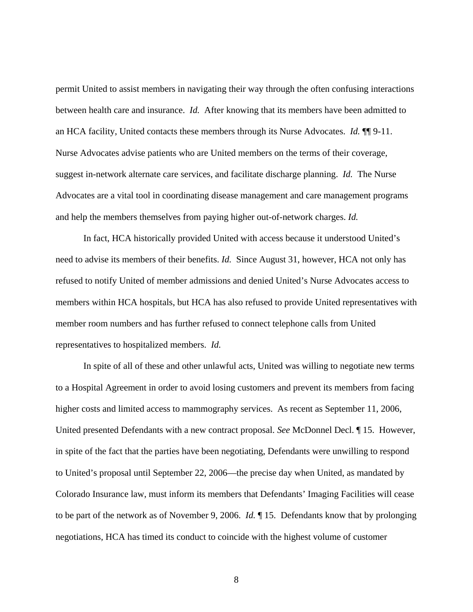permit United to assist members in navigating their way through the often confusing interactions between health care and insurance. *Id.* After knowing that its members have been admitted to an HCA facility, United contacts these members through its Nurse Advocates. *Id.* ¶¶ 9-11. Nurse Advocates advise patients who are United members on the terms of their coverage, suggest in-network alternate care services, and facilitate discharge planning. *Id.* The Nurse Advocates are a vital tool in coordinating disease management and care management programs and help the members themselves from paying higher out-of-network charges. *Id.* 

In fact, HCA historically provided United with access because it understood United's need to advise its members of their benefits. *Id.* Since August 31, however, HCA not only has refused to notify United of member admissions and denied United's Nurse Advocates access to members within HCA hospitals, but HCA has also refused to provide United representatives with member room numbers and has further refused to connect telephone calls from United representatives to hospitalized members. *Id.*

In spite of all of these and other unlawful acts, United was willing to negotiate new terms to a Hospital Agreement in order to avoid losing customers and prevent its members from facing higher costs and limited access to mammography services. As recent as September 11, 2006, United presented Defendants with a new contract proposal. *See* McDonnel Decl. ¶ 15. However, in spite of the fact that the parties have been negotiating, Defendants were unwilling to respond to United's proposal until September 22, 2006—the precise day when United, as mandated by Colorado Insurance law, must inform its members that Defendants' Imaging Facilities will cease to be part of the network as of November 9, 2006. *Id.* ¶ 15. Defendants know that by prolonging negotiations, HCA has timed its conduct to coincide with the highest volume of customer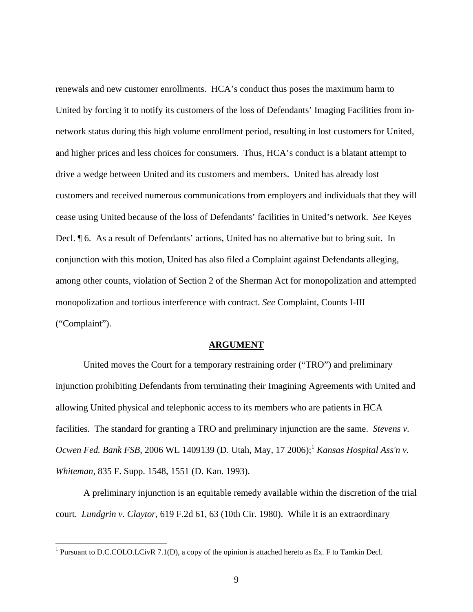renewals and new customer enrollments. HCA's conduct thus poses the maximum harm to United by forcing it to notify its customers of the loss of Defendants' Imaging Facilities from innetwork status during this high volume enrollment period, resulting in lost customers for United, and higher prices and less choices for consumers. Thus, HCA's conduct is a blatant attempt to drive a wedge between United and its customers and members. United has already lost customers and received numerous communications from employers and individuals that they will cease using United because of the loss of Defendants' facilities in United's network. *See* Keyes Decl. ¶ 6. As a result of Defendants' actions, United has no alternative but to bring suit. In conjunction with this motion, United has also filed a Complaint against Defendants alleging, among other counts, violation of Section 2 of the Sherman Act for monopolization and attempted monopolization and tortious interference with contract. *See* Complaint, Counts I-III ("Complaint").

#### **ARGUMENT**

United moves the Court for a temporary restraining order ("TRO") and preliminary injunction prohibiting Defendants from terminating their Imagining Agreements with United and allowing United physical and telephonic access to its members who are patients in HCA facilities. The standard for granting a TRO and preliminary injunction are the same. *Stevens v. Ocwen Fed. Bank FSB*, 2006 WL 1409139 (D. Utah, May, 17 2006);<sup>1</sup> *Kansas Hospital Ass'n v. Whiteman*, 835 F. Supp. 1548, 1551 (D. Kan. 1993).

A preliminary injunction is an equitable remedy available within the discretion of the trial court. *Lundgrin v. Claytor*, 619 F.2d 61, 63 (10th Cir. 1980). While it is an extraordinary

 $\overline{a}$ 

<sup>&</sup>lt;sup>1</sup> Pursuant to D.C.COLO.LCivR 7.1(D), a copy of the opinion is attached hereto as Ex. F to Tamkin Decl.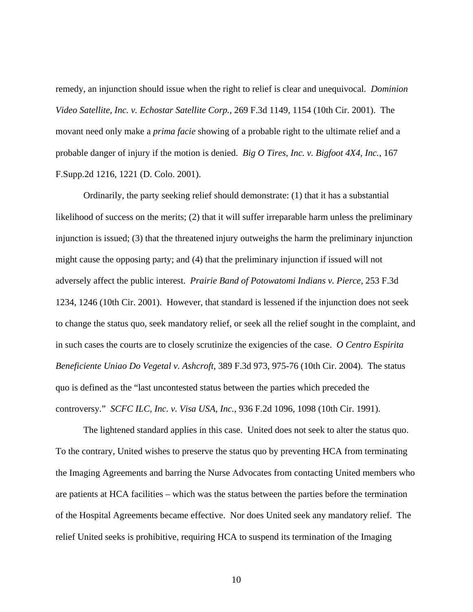remedy, an injunction should issue when the right to relief is clear and unequivocal. *Dominion Video Satellite, Inc. v. Echostar Satellite Corp.,* 269 F.3d 1149, 1154 (10th Cir. 2001). The movant need only make a *prima facie* showing of a probable right to the ultimate relief and a probable danger of injury if the motion is denied. *Big O Tires, Inc. v. Bigfoot 4X4, Inc.*, 167 F.Supp.2d 1216, 1221 (D. Colo. 2001).

Ordinarily, the party seeking relief should demonstrate: (1) that it has a substantial likelihood of success on the merits; (2) that it will suffer irreparable harm unless the preliminary injunction is issued; (3) that the threatened injury outweighs the harm the preliminary injunction might cause the opposing party; and (4) that the preliminary injunction if issued will not adversely affect the public interest. *Prairie Band of Potowatomi Indians v. Pierce*, 253 F.3d 1234, 1246 (10th Cir. 2001). However, that standard is lessened if the injunction does not seek to change the status quo, seek mandatory relief, or seek all the relief sought in the complaint, and in such cases the courts are to closely scrutinize the exigencies of the case. *O Centro Espirita Beneficiente Uniao Do Vegetal v. Ashcroft*, 389 F.3d 973, 975-76 (10th Cir. 2004). The status quo is defined as the "last uncontested status between the parties which preceded the controversy." *SCFC ILC, Inc. v. Visa USA, Inc.*, 936 F.2d 1096, 1098 (10th Cir. 1991).

The lightened standard applies in this case. United does not seek to alter the status quo. To the contrary, United wishes to preserve the status quo by preventing HCA from terminating the Imaging Agreements and barring the Nurse Advocates from contacting United members who are patients at HCA facilities – which was the status between the parties before the termination of the Hospital Agreements became effective. Nor does United seek any mandatory relief. The relief United seeks is prohibitive, requiring HCA to suspend its termination of the Imaging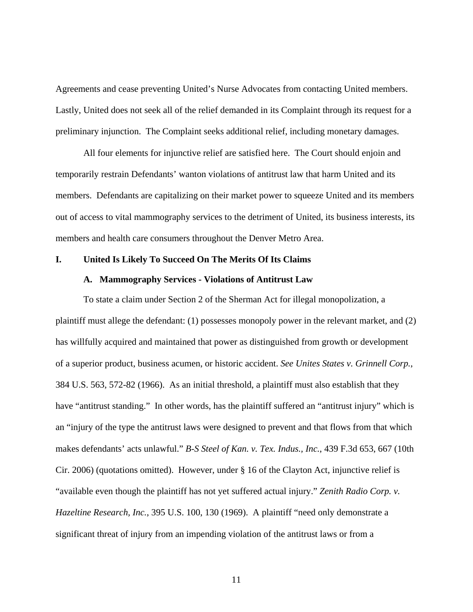Agreements and cease preventing United's Nurse Advocates from contacting United members. Lastly, United does not seek all of the relief demanded in its Complaint through its request for a preliminary injunction. The Complaint seeks additional relief, including monetary damages.

All four elements for injunctive relief are satisfied here. The Court should enjoin and temporarily restrain Defendants' wanton violations of antitrust law that harm United and its members. Defendants are capitalizing on their market power to squeeze United and its members out of access to vital mammography services to the detriment of United, its business interests, its members and health care consumers throughout the Denver Metro Area.

#### **I. United Is Likely To Succeed On The Merits Of Its Claims**

### **A. Mammography Services - Violations of Antitrust Law**

To state a claim under Section 2 of the Sherman Act for illegal monopolization, a plaintiff must allege the defendant: (1) possesses monopoly power in the relevant market, and (2) has willfully acquired and maintained that power as distinguished from growth or development of a superior product, business acumen, or historic accident. *See Unites States v. Grinnell Corp.*, 384 U.S. 563, 572-82 (1966). As an initial threshold, a plaintiff must also establish that they have "antitrust standing." In other words, has the plaintiff suffered an "antitrust injury" which is an "injury of the type the antitrust laws were designed to prevent and that flows from that which makes defendants' acts unlawful." *B-S Steel of Kan. v. Tex. Indus., Inc.*, 439 F.3d 653, 667 (10th Cir. 2006) (quotations omitted). However, under § 16 of the Clayton Act, injunctive relief is "available even though the plaintiff has not yet suffered actual injury." *Zenith Radio Corp. v. Hazeltine Research, Inc.*, 395 U.S. 100, 130 (1969). A plaintiff "need only demonstrate a significant threat of injury from an impending violation of the antitrust laws or from a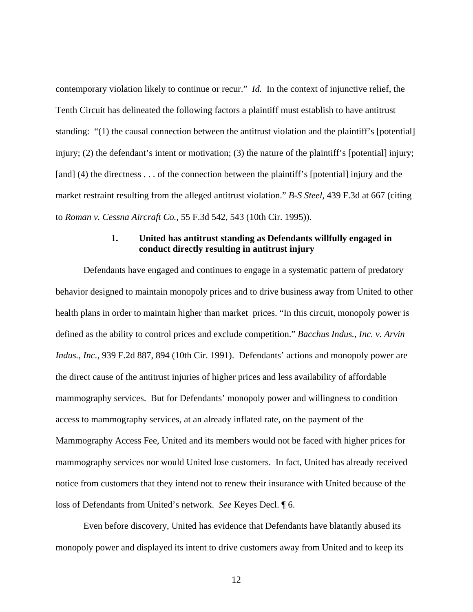contemporary violation likely to continue or recur." *Id.* In the context of injunctive relief, the Tenth Circuit has delineated the following factors a plaintiff must establish to have antitrust standing: "(1) the causal connection between the antitrust violation and the plaintiff's [potential] injury; (2) the defendant's intent or motivation; (3) the nature of the plaintiff's [potential] injury; [and] (4) the directness . . . of the connection between the plaintiff's [potential] injury and the market restraint resulting from the alleged antitrust violation." *B-S Steel,* 439 F.3d at 667 (citing to *Roman v. Cessna Aircraft Co.*, 55 F.3d 542, 543 (10th Cir. 1995)).

## **1. United has antitrust standing as Defendants willfully engaged in conduct directly resulting in antitrust injury**

Defendants have engaged and continues to engage in a systematic pattern of predatory behavior designed to maintain monopoly prices and to drive business away from United to other health plans in order to maintain higher than market prices. "In this circuit, monopoly power is defined as the ability to control prices and exclude competition." *Bacchus Indus., Inc. v. Arvin Indus., Inc.*, 939 F.2d 887, 894 (10th Cir. 1991). Defendants' actions and monopoly power are the direct cause of the antitrust injuries of higher prices and less availability of affordable mammography services. But for Defendants' monopoly power and willingness to condition access to mammography services, at an already inflated rate, on the payment of the Mammography Access Fee, United and its members would not be faced with higher prices for mammography services nor would United lose customers. In fact, United has already received notice from customers that they intend not to renew their insurance with United because of the loss of Defendants from United's network. *See* Keyes Decl. ¶ 6.

Even before discovery, United has evidence that Defendants have blatantly abused its monopoly power and displayed its intent to drive customers away from United and to keep its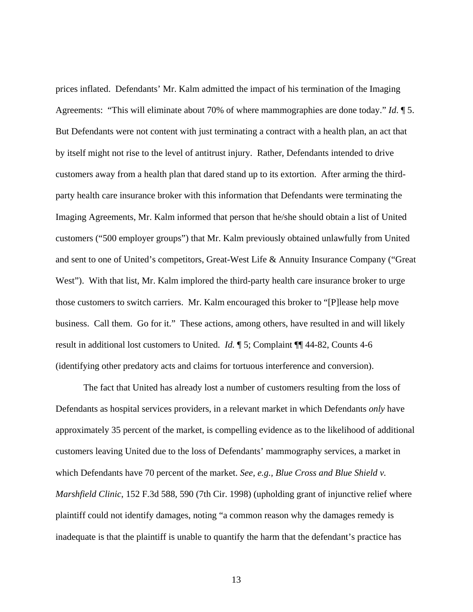prices inflated. Defendants' Mr. Kalm admitted the impact of his termination of the Imaging Agreements: "This will eliminate about 70% of where mammographies are done today." *Id*. ¶ 5. But Defendants were not content with just terminating a contract with a health plan, an act that by itself might not rise to the level of antitrust injury. Rather, Defendants intended to drive customers away from a health plan that dared stand up to its extortion. After arming the thirdparty health care insurance broker with this information that Defendants were terminating the Imaging Agreements, Mr. Kalm informed that person that he/she should obtain a list of United customers ("500 employer groups") that Mr. Kalm previously obtained unlawfully from United and sent to one of United's competitors, Great-West Life & Annuity Insurance Company ("Great West"). With that list, Mr. Kalm implored the third-party health care insurance broker to urge those customers to switch carriers. Mr. Kalm encouraged this broker to "[P]lease help move business. Call them. Go for it." These actions, among others, have resulted in and will likely result in additional lost customers to United. *Id.* ¶ 5; Complaint ¶¶ 44-82, Counts 4-6 (identifying other predatory acts and claims for tortuous interference and conversion).

The fact that United has already lost a number of customers resulting from the loss of Defendants as hospital services providers, in a relevant market in which Defendants *only* have approximately 35 percent of the market, is compelling evidence as to the likelihood of additional customers leaving United due to the loss of Defendants' mammography services, a market in which Defendants have 70 percent of the market. *See, e.g., Blue Cross and Blue Shield v. Marshfield Clinic*, 152 F.3d 588, 590 (7th Cir. 1998) (upholding grant of injunctive relief where plaintiff could not identify damages, noting "a common reason why the damages remedy is inadequate is that the plaintiff is unable to quantify the harm that the defendant's practice has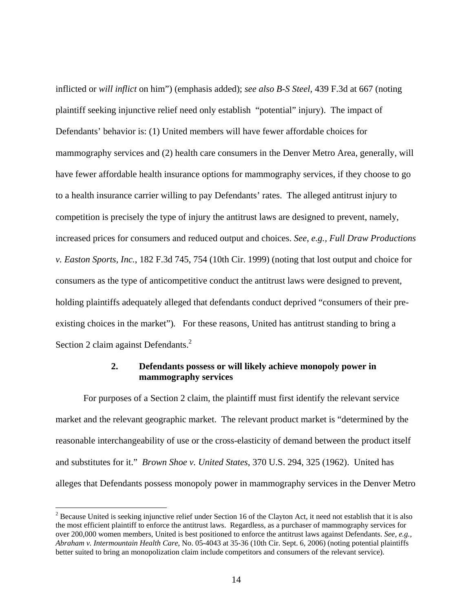inflicted or *will inflict* on him") (emphasis added); *see also B-S Steel,* 439 F.3d at 667 (noting plaintiff seeking injunctive relief need only establish "potential" injury). The impact of Defendants' behavior is: (1) United members will have fewer affordable choices for mammography services and (2) health care consumers in the Denver Metro Area, generally, will have fewer affordable health insurance options for mammography services, if they choose to go to a health insurance carrier willing to pay Defendants' rates. The alleged antitrust injury to competition is precisely the type of injury the antitrust laws are designed to prevent, namely, increased prices for consumers and reduced output and choices. *See, e.g., Full Draw Productions v. Easton Sports, Inc.*, 182 F.3d 745, 754 (10th Cir. 1999) (noting that lost output and choice for consumers as the type of anticompetitive conduct the antitrust laws were designed to prevent, holding plaintiffs adequately alleged that defendants conduct deprived "consumers of their preexisting choices in the market")*.* For these reasons, United has antitrust standing to bring a Section 2 claim against Defendants. $^{2}$ 

## **2. Defendants possess or will likely achieve monopoly power in mammography services**

For purposes of a Section 2 claim, the plaintiff must first identify the relevant service market and the relevant geographic market. The relevant product market is "determined by the reasonable interchangeability of use or the cross-elasticity of demand between the product itself and substitutes for it." *Brown Shoe v. United States*, 370 U.S. 294, 325 (1962). United has alleges that Defendants possess monopoly power in mammography services in the Denver Metro

 $\overline{a}$ 

 $2^{2}$  Because United is seeking injunctive relief under Section 16 of the Clayton Act, it need not establish that it is also the most efficient plaintiff to enforce the antitrust laws. Regardless, as a purchaser of mammography services for over 200,000 women members, United is best positioned to enforce the antitrust laws against Defendants. *See, e.g., Abraham v. Intermountain Health Care*, No. 05-4043 at 35-36 (10th Cir. Sept. 6, 2006) (noting potential plaintiffs better suited to bring an monopolization claim include competitors and consumers of the relevant service).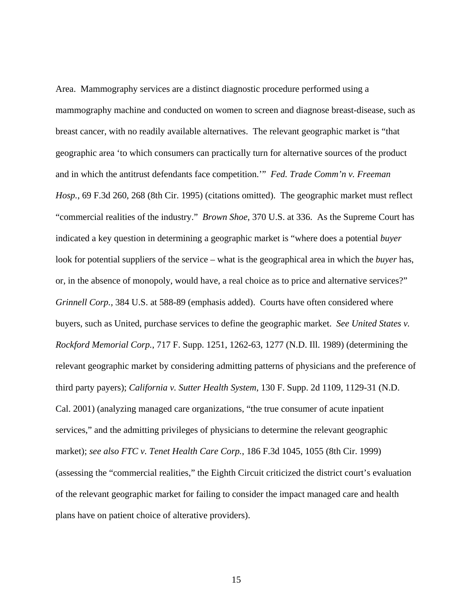Area. Mammography services are a distinct diagnostic procedure performed using a mammography machine and conducted on women to screen and diagnose breast-disease, such as breast cancer, with no readily available alternatives. The relevant geographic market is "that geographic area 'to which consumers can practically turn for alternative sources of the product and in which the antitrust defendants face competition.'" *Fed. Trade Comm'n v. Freeman Hosp.*, 69 F.3d 260, 268 (8th Cir. 1995) (citations omitted). The geographic market must reflect "commercial realities of the industry." *Brown Shoe*, 370 U.S. at 336. As the Supreme Court has indicated a key question in determining a geographic market is "where does a potential *buyer* look for potential suppliers of the service – what is the geographical area in which the *buyer* has, or, in the absence of monopoly, would have, a real choice as to price and alternative services?" *Grinnell Corp.,* 384 U.S. at 588-89 (emphasis added). Courts have often considered where buyers, such as United, purchase services to define the geographic market. *See United States v. Rockford Memorial Corp.*, 717 F. Supp. 1251, 1262-63, 1277 (N.D. Ill. 1989) (determining the relevant geographic market by considering admitting patterns of physicians and the preference of third party payers); *California v. Sutter Health System*, 130 F. Supp. 2d 1109, 1129-31 (N.D. Cal. 2001) (analyzing managed care organizations, "the true consumer of acute inpatient services," and the admitting privileges of physicians to determine the relevant geographic market); *see also FTC v. Tenet Health Care Corp.*, 186 F.3d 1045, 1055 (8th Cir. 1999) (assessing the "commercial realities," the Eighth Circuit criticized the district court's evaluation of the relevant geographic market for failing to consider the impact managed care and health plans have on patient choice of alterative providers).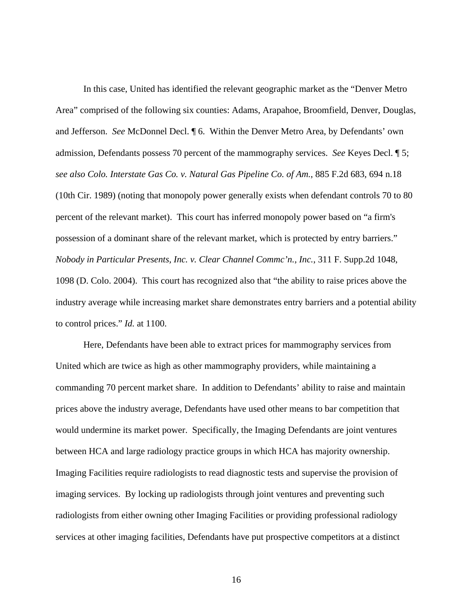In this case, United has identified the relevant geographic market as the "Denver Metro Area" comprised of the following six counties: Adams, Arapahoe, Broomfield, Denver, Douglas, and Jefferson. *See* McDonnel Decl. ¶ 6. Within the Denver Metro Area, by Defendants' own admission, Defendants possess 70 percent of the mammography services. *See* Keyes Decl. ¶ 5; *see also Colo. Interstate Gas Co. v. Natural Gas Pipeline Co. of Am.*, 885 F.2d 683, 694 n.18 (10th Cir. 1989) (noting that monopoly power generally exists when defendant controls 70 to 80 percent of the relevant market). This court has inferred monopoly power based on "a firm's possession of a dominant share of the relevant market, which is protected by entry barriers." *Nobody in Particular Presents, Inc. v. Clear Channel Commc'n., Inc.*, 311 F. Supp.2d 1048, 1098 (D. Colo. 2004). This court has recognized also that "the ability to raise prices above the industry average while increasing market share demonstrates entry barriers and a potential ability to control prices." *Id.* at 1100.

Here, Defendants have been able to extract prices for mammography services from United which are twice as high as other mammography providers, while maintaining a commanding 70 percent market share. In addition to Defendants' ability to raise and maintain prices above the industry average, Defendants have used other means to bar competition that would undermine its market power. Specifically, the Imaging Defendants are joint ventures between HCA and large radiology practice groups in which HCA has majority ownership. Imaging Facilities require radiologists to read diagnostic tests and supervise the provision of imaging services. By locking up radiologists through joint ventures and preventing such radiologists from either owning other Imaging Facilities or providing professional radiology services at other imaging facilities, Defendants have put prospective competitors at a distinct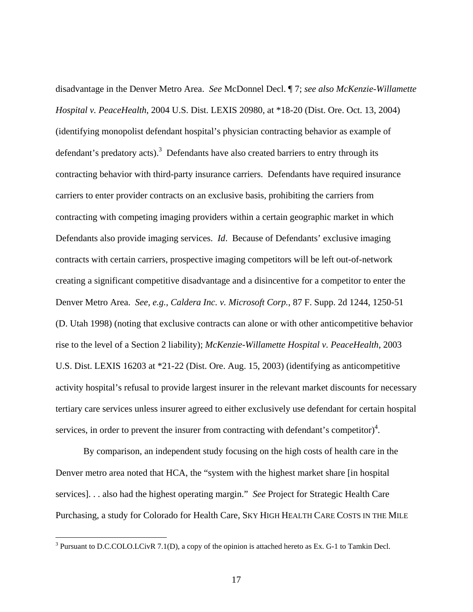disadvantage in the Denver Metro Area. *See* McDonnel Decl. ¶ 7; *see also McKenzie-Willamette Hospital v. PeaceHealth*, 2004 U.S. Dist. LEXIS 20980, at \*18-20 (Dist. Ore. Oct. 13, 2004) (identifying monopolist defendant hospital's physician contracting behavior as example of defendant's predatory acts).<sup>3</sup> Defendants have also created barriers to entry through its contracting behavior with third-party insurance carriers. Defendants have required insurance carriers to enter provider contracts on an exclusive basis, prohibiting the carriers from contracting with competing imaging providers within a certain geographic market in which Defendants also provide imaging services. *Id*. Because of Defendants' exclusive imaging contracts with certain carriers, prospective imaging competitors will be left out-of-network creating a significant competitive disadvantage and a disincentive for a competitor to enter the Denver Metro Area. *See, e.g., Caldera Inc. v. Microsoft Corp.*, 87 F. Supp. 2d 1244, 1250-51 (D. Utah 1998) (noting that exclusive contracts can alone or with other anticompetitive behavior rise to the level of a Section 2 liability); *McKenzie-Willamette Hospital v. PeaceHealth*, 2003 U.S. Dist. LEXIS 16203 at \*21-22 (Dist. Ore. Aug. 15, 2003) (identifying as anticompetitive activity hospital's refusal to provide largest insurer in the relevant market discounts for necessary tertiary care services unless insurer agreed to either exclusively use defendant for certain hospital services, in order to prevent the insurer from contracting with defendant's competitor)<sup>4</sup>.

By comparison, an independent study focusing on the high costs of health care in the Denver metro area noted that HCA, the "system with the highest market share [in hospital services]. . . also had the highest operating margin." *See* Project for Strategic Health Care Purchasing, a study for Colorado for Health Care, SKY HIGH HEALTH CARE COSTS IN THE MILE

 $\overline{a}$ 

<sup>&</sup>lt;sup>3</sup> Pursuant to D.C.COLO.LCivR 7.1(D), a copy of the opinion is attached hereto as Ex. G-1 to Tamkin Decl.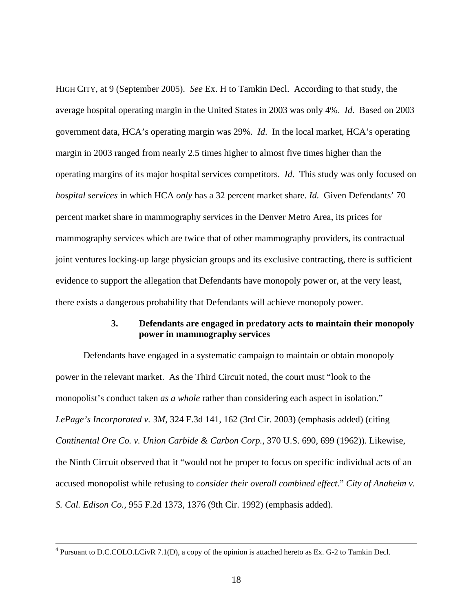HIGH CITY, at 9 (September 2005). *See* Ex. H to Tamkin Decl. According to that study, the average hospital operating margin in the United States in 2003 was only 4%. *Id*. Based on 2003 government data, HCA's operating margin was 29%. *Id*. In the local market, HCA's operating margin in 2003 ranged from nearly 2.5 times higher to almost five times higher than the operating margins of its major hospital services competitors. *Id*. This study was only focused on *hospital services* in which HCA *only* has a 32 percent market share. *Id.* Given Defendants' 70 percent market share in mammography services in the Denver Metro Area, its prices for mammography services which are twice that of other mammography providers, its contractual joint ventures locking-up large physician groups and its exclusive contracting, there is sufficient evidence to support the allegation that Defendants have monopoly power or, at the very least, there exists a dangerous probability that Defendants will achieve monopoly power.

## **3. Defendants are engaged in predatory acts to maintain their monopoly power in mammography services**

Defendants have engaged in a systematic campaign to maintain or obtain monopoly power in the relevant market. As the Third Circuit noted, the court must "look to the monopolist's conduct taken *as a whole* rather than considering each aspect in isolation." *LePage's Incorporated v. 3M*, 324 F.3d 141, 162 (3rd Cir. 2003) (emphasis added) (citing *Continental Ore Co. v. Union Carbide & Carbon Corp.*, 370 U.S. 690, 699 (1962)). Likewise, the Ninth Circuit observed that it "would not be proper to focus on specific individual acts of an accused monopolist while refusing to *consider their overall combined effect.*" *City of Anaheim v. S. Cal. Edison Co.,* 955 F.2d 1373, 1376 (9th Cir. 1992) (emphasis added).

 $\frac{1}{4}$  $4$  Pursuant to D.C.COLO.LCivR 7.1(D), a copy of the opinion is attached hereto as Ex. G-2 to Tamkin Decl.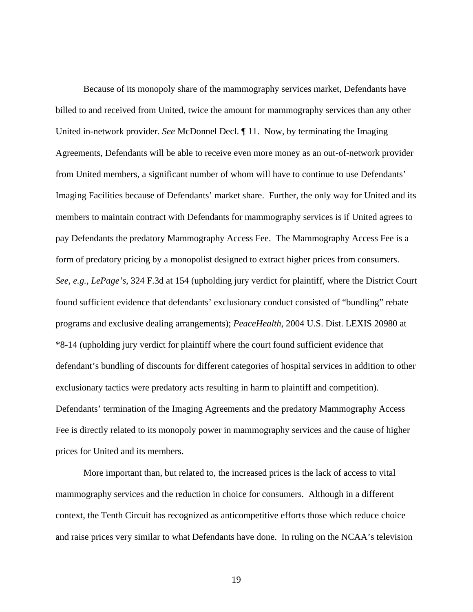Because of its monopoly share of the mammography services market, Defendants have billed to and received from United, twice the amount for mammography services than any other United in-network provider. *See* McDonnel Decl. ¶ 11. Now, by terminating the Imaging Agreements, Defendants will be able to receive even more money as an out-of-network provider from United members, a significant number of whom will have to continue to use Defendants' Imaging Facilities because of Defendants' market share. Further, the only way for United and its members to maintain contract with Defendants for mammography services is if United agrees to pay Defendants the predatory Mammography Access Fee. The Mammography Access Fee is a form of predatory pricing by a monopolist designed to extract higher prices from consumers. *See, e.g., LePage's*, 324 F.3d at 154 (upholding jury verdict for plaintiff, where the District Court found sufficient evidence that defendants' exclusionary conduct consisted of "bundling" rebate programs and exclusive dealing arrangements); *PeaceHealth*, 2004 U.S. Dist. LEXIS 20980 at \*8-14 (upholding jury verdict for plaintiff where the court found sufficient evidence that defendant's bundling of discounts for different categories of hospital services in addition to other exclusionary tactics were predatory acts resulting in harm to plaintiff and competition). Defendants' termination of the Imaging Agreements and the predatory Mammography Access Fee is directly related to its monopoly power in mammography services and the cause of higher prices for United and its members.

More important than, but related to, the increased prices is the lack of access to vital mammography services and the reduction in choice for consumers. Although in a different context, the Tenth Circuit has recognized as anticompetitive efforts those which reduce choice and raise prices very similar to what Defendants have done. In ruling on the NCAA's television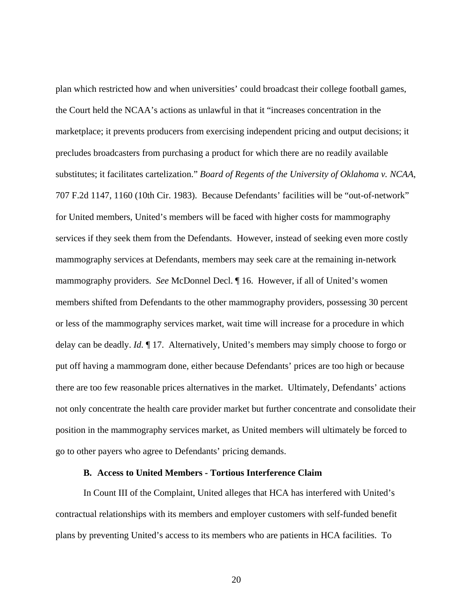plan which restricted how and when universities' could broadcast their college football games, the Court held the NCAA's actions as unlawful in that it "increases concentration in the marketplace; it prevents producers from exercising independent pricing and output decisions; it precludes broadcasters from purchasing a product for which there are no readily available substitutes; it facilitates cartelization." *Board of Regents of the University of Oklahoma v. NCAA*, 707 F.2d 1147, 1160 (10th Cir. 1983). Because Defendants' facilities will be "out-of-network" for United members, United's members will be faced with higher costs for mammography services if they seek them from the Defendants. However, instead of seeking even more costly mammography services at Defendants, members may seek care at the remaining in-network mammography providers. *See* McDonnel Decl. ¶ 16. However, if all of United's women members shifted from Defendants to the other mammography providers, possessing 30 percent or less of the mammography services market, wait time will increase for a procedure in which delay can be deadly. *Id.* ¶ 17. Alternatively, United's members may simply choose to forgo or put off having a mammogram done, either because Defendants' prices are too high or because there are too few reasonable prices alternatives in the market. Ultimately, Defendants' actions not only concentrate the health care provider market but further concentrate and consolidate their position in the mammography services market, as United members will ultimately be forced to go to other payers who agree to Defendants' pricing demands.

### **B. Access to United Members - Tortious Interference Claim**

In Count III of the Complaint, United alleges that HCA has interfered with United's contractual relationships with its members and employer customers with self-funded benefit plans by preventing United's access to its members who are patients in HCA facilities. To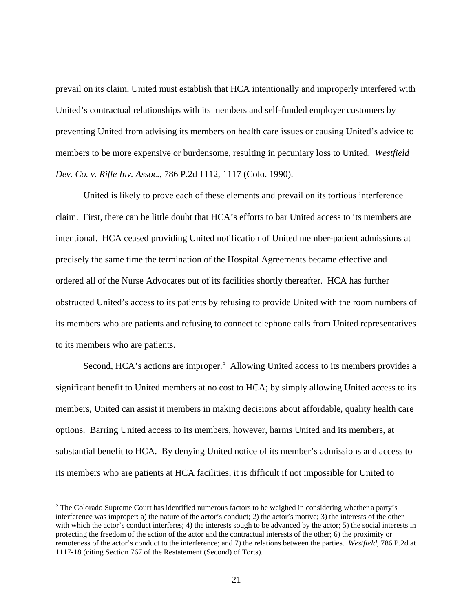prevail on its claim, United must establish that HCA intentionally and improperly interfered with United's contractual relationships with its members and self-funded employer customers by preventing United from advising its members on health care issues or causing United's advice to members to be more expensive or burdensome, resulting in pecuniary loss to United. *Westfield Dev. Co. v. Rifle Inv. Assoc.*, 786 P.2d 1112, 1117 (Colo. 1990).

United is likely to prove each of these elements and prevail on its tortious interference claim. First, there can be little doubt that HCA's efforts to bar United access to its members are intentional. HCA ceased providing United notification of United member-patient admissions at precisely the same time the termination of the Hospital Agreements became effective and ordered all of the Nurse Advocates out of its facilities shortly thereafter. HCA has further obstructed United's access to its patients by refusing to provide United with the room numbers of its members who are patients and refusing to connect telephone calls from United representatives to its members who are patients.

Second, HCA's actions are improper.<sup>5</sup> Allowing United access to its members provides a significant benefit to United members at no cost to HCA; by simply allowing United access to its members, United can assist it members in making decisions about affordable, quality health care options. Barring United access to its members, however, harms United and its members, at substantial benefit to HCA. By denying United notice of its member's admissions and access to its members who are patients at HCA facilities, it is difficult if not impossible for United to

 $\overline{a}$ 

<sup>&</sup>lt;sup>5</sup> The Colorado Supreme Court has identified numerous factors to be weighed in considering whether a party's interference was improper: a) the nature of the actor's conduct; 2) the actor's motive; 3) the interests of the other with which the actor's conduct interferes; 4) the interests sough to be advanced by the actor; 5) the social interests in protecting the freedom of the action of the actor and the contractual interests of the other; 6) the proximity or remoteness of the actor's conduct to the interference; and 7) the relations between the parties. *Westfield*, 786 P.2d at 1117-18 (citing Section 767 of the Restatement (Second) of Torts).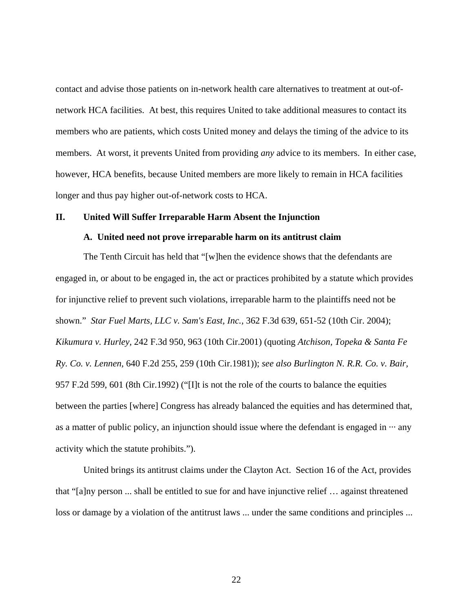contact and advise those patients on in-network health care alternatives to treatment at out-ofnetwork HCA facilities. At best, this requires United to take additional measures to contact its members who are patients, which costs United money and delays the timing of the advice to its members. At worst, it prevents United from providing *any* advice to its members. In either case, however, HCA benefits, because United members are more likely to remain in HCA facilities longer and thus pay higher out-of-network costs to HCA.

### **II. United Will Suffer Irreparable Harm Absent the Injunction**

#### **A. United need not prove irreparable harm on its antitrust claim**

 The Tenth Circuit has held that "[w]hen the evidence shows that the defendants are engaged in, or about to be engaged in, the act or practices prohibited by a statute which provides for injunctive relief to prevent such violations, irreparable harm to the plaintiffs need not be shown." *Star Fuel Marts, LLC v. Sam's East, Inc.,* 362 F.3d 639, 651-52 (10th Cir. 2004); *Kikumura v. Hurley,* 242 F.3d 950, 963 (10th Cir.2001) (quoting *Atchison, Topeka & Santa Fe Ry. Co. v. Lennen,* 640 F.2d 255, 259 (10th Cir.1981)); *see also Burlington N. R.R. Co. v. Bair,* 957 F.2d 599, 601 (8th Cir.1992) ("[I]t is not the role of the courts to balance the equities between the parties [where] Congress has already balanced the equities and has determined that, as a matter of public policy, an injunction should issue where the defendant is engaged in  $\cdots$  any activity which the statute prohibits.").

 United brings its antitrust claims under the Clayton Act. Section 16 of the Act, provides that "[a]ny person ... shall be entitled to sue for and have injunctive relief … against threatened loss or damage by a violation of the antitrust laws ... under the same conditions and principles ...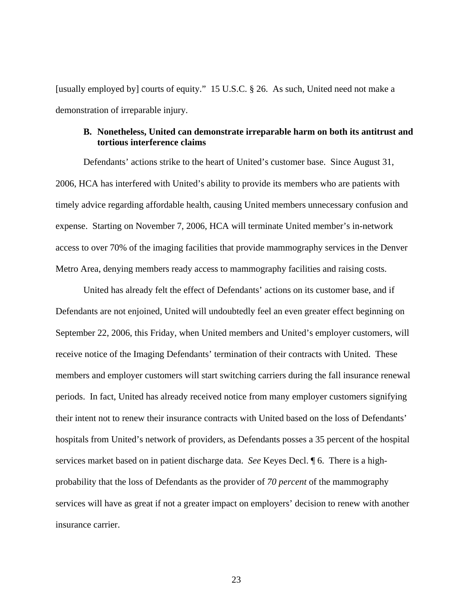[usually employed by] courts of equity." 15 U.S.C. § 26. As such, United need not make a demonstration of irreparable injury.

## **B. Nonetheless, United can demonstrate irreparable harm on both its antitrust and tortious interference claims**

 Defendants' actions strike to the heart of United's customer base. Since August 31, 2006, HCA has interfered with United's ability to provide its members who are patients with timely advice regarding affordable health, causing United members unnecessary confusion and expense. Starting on November 7, 2006, HCA will terminate United member's in-network access to over 70% of the imaging facilities that provide mammography services in the Denver Metro Area, denying members ready access to mammography facilities and raising costs.

 United has already felt the effect of Defendants' actions on its customer base, and if Defendants are not enjoined, United will undoubtedly feel an even greater effect beginning on September 22, 2006, this Friday, when United members and United's employer customers, will receive notice of the Imaging Defendants' termination of their contracts with United. These members and employer customers will start switching carriers during the fall insurance renewal periods. In fact, United has already received notice from many employer customers signifying their intent not to renew their insurance contracts with United based on the loss of Defendants' hospitals from United's network of providers, as Defendants posses a 35 percent of the hospital services market based on in patient discharge data. *See* Keyes Decl. ¶ 6. There is a highprobability that the loss of Defendants as the provider of *70 percent* of the mammography services will have as great if not a greater impact on employers' decision to renew with another insurance carrier.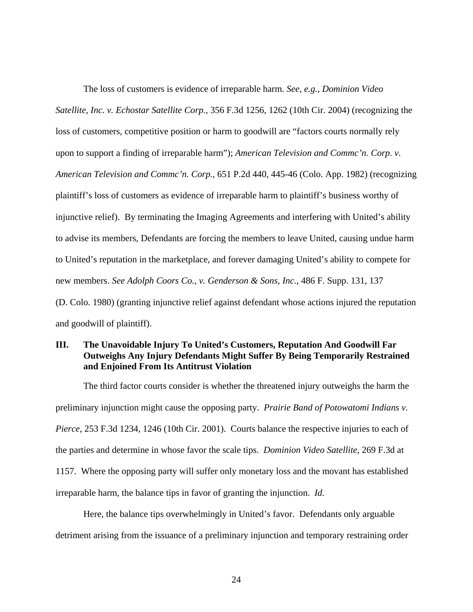The loss of customers is evidence of irreparable harm. *See, e.g., Dominion Video Satellite, Inc. v. Echostar Satellite Corp.,* 356 F.3d 1256, 1262 (10th Cir. 2004) (recognizing the loss of customers, competitive position or harm to goodwill are "factors courts normally rely upon to support a finding of irreparable harm"); *American Television and Commc'n. Corp. v. American Television and Commc'n. Corp.*, 651 P.2d 440, 445-46 (Colo. App. 1982) (recognizing plaintiff's loss of customers as evidence of irreparable harm to plaintiff's business worthy of injunctive relief). By terminating the Imaging Agreements and interfering with United's ability to advise its members, Defendants are forcing the members to leave United, causing undue harm to United's reputation in the marketplace, and forever damaging United's ability to compete for new members. *See Adolph Coors Co., v. Genderson & Sons, Inc.*, 486 F. Supp. 131, 137 (D. Colo. 1980) (granting injunctive relief against defendant whose actions injured the reputation

and goodwill of plaintiff).

# **III. The Unavoidable Injury To United's Customers, Reputation And Goodwill Far Outweighs Any Injury Defendants Might Suffer By Being Temporarily Restrained and Enjoined From Its Antitrust Violation**

The third factor courts consider is whether the threatened injury outweighs the harm the preliminary injunction might cause the opposing party. *Prairie Band of Potowatomi Indians v. Pierce*, 253 F.3d 1234, 1246 (10th Cir. 2001). Courts balance the respective injuries to each of the parties and determine in whose favor the scale tips. *Dominion Video Satellite*, 269 F.3d at 1157. Where the opposing party will suffer only monetary loss and the movant has established irreparable harm, the balance tips in favor of granting the injunction. *Id.* 

Here, the balance tips overwhelmingly in United's favor. Defendants only arguable detriment arising from the issuance of a preliminary injunction and temporary restraining order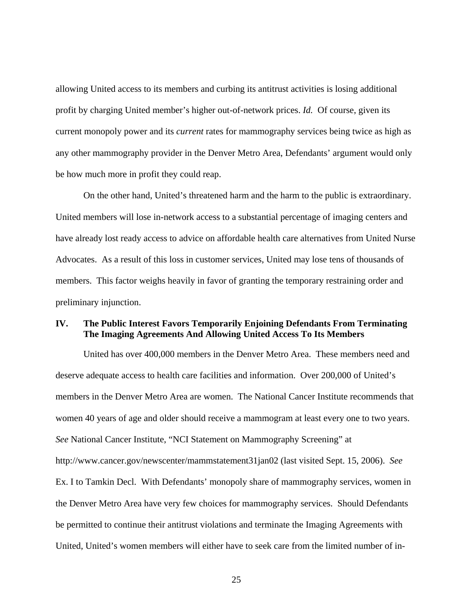allowing United access to its members and curbing its antitrust activities is losing additional profit by charging United member's higher out-of-network prices. *Id.* Of course, given its current monopoly power and its *current* rates for mammography services being twice as high as any other mammography provider in the Denver Metro Area, Defendants' argument would only be how much more in profit they could reap.

On the other hand, United's threatened harm and the harm to the public is extraordinary. United members will lose in-network access to a substantial percentage of imaging centers and have already lost ready access to advice on affordable health care alternatives from United Nurse Advocates. As a result of this loss in customer services, United may lose tens of thousands of members. This factor weighs heavily in favor of granting the temporary restraining order and preliminary injunction.

## **IV. The Public Interest Favors Temporarily Enjoining Defendants From Terminating The Imaging Agreements And Allowing United Access To Its Members**

United has over 400,000 members in the Denver Metro Area. These members need and deserve adequate access to health care facilities and information. Over 200,000 of United's members in the Denver Metro Area are women. The National Cancer Institute recommends that women 40 years of age and older should receive a mammogram at least every one to two years. *See* National Cancer Institute, "NCI Statement on Mammography Screening" at http://www.cancer.gov/newscenter/mammstatement31jan02 (last visited Sept. 15, 2006). *See*  Ex. I to Tamkin Decl. With Defendants' monopoly share of mammography services, women in the Denver Metro Area have very few choices for mammography services. Should Defendants be permitted to continue their antitrust violations and terminate the Imaging Agreements with United, United's women members will either have to seek care from the limited number of in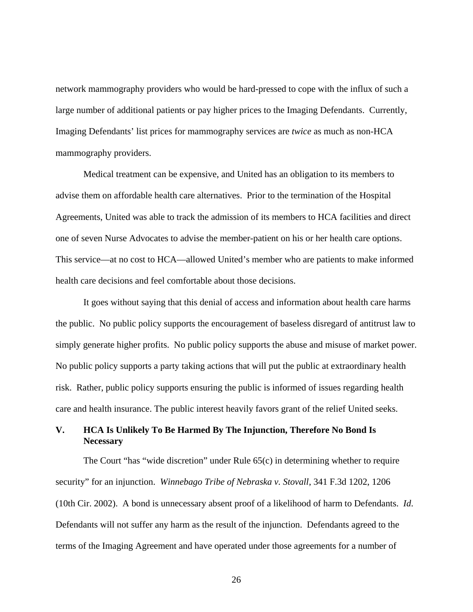network mammography providers who would be hard-pressed to cope with the influx of such a large number of additional patients or pay higher prices to the Imaging Defendants. Currently, Imaging Defendants' list prices for mammography services are *twice* as much as non-HCA mammography providers.

Medical treatment can be expensive, and United has an obligation to its members to advise them on affordable health care alternatives. Prior to the termination of the Hospital Agreements, United was able to track the admission of its members to HCA facilities and direct one of seven Nurse Advocates to advise the member-patient on his or her health care options. This service—at no cost to HCA—allowed United's member who are patients to make informed health care decisions and feel comfortable about those decisions.

It goes without saying that this denial of access and information about health care harms the public. No public policy supports the encouragement of baseless disregard of antitrust law to simply generate higher profits. No public policy supports the abuse and misuse of market power. No public policy supports a party taking actions that will put the public at extraordinary health risk. Rather, public policy supports ensuring the public is informed of issues regarding health care and health insurance. The public interest heavily favors grant of the relief United seeks.

## **V. HCA Is Unlikely To Be Harmed By The Injunction, Therefore No Bond Is Necessary**

The Court "has "wide discretion" under Rule 65(c) in determining whether to require security" for an injunction. *Winnebago Tribe of Nebraska v. Stovall*, 341 F.3d 1202, 1206 (10th Cir. 2002). A bond is unnecessary absent proof of a likelihood of harm to Defendants. *Id*. Defendants will not suffer any harm as the result of the injunction. Defendants agreed to the terms of the Imaging Agreement and have operated under those agreements for a number of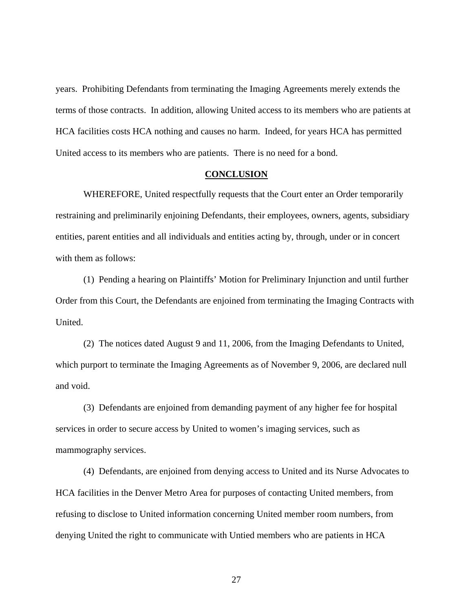years. Prohibiting Defendants from terminating the Imaging Agreements merely extends the terms of those contracts. In addition, allowing United access to its members who are patients at HCA facilities costs HCA nothing and causes no harm. Indeed, for years HCA has permitted United access to its members who are patients. There is no need for a bond.

#### **CONCLUSION**

WHEREFORE, United respectfully requests that the Court enter an Order temporarily restraining and preliminarily enjoining Defendants, their employees, owners, agents, subsidiary entities, parent entities and all individuals and entities acting by, through, under or in concert with them as follows:

(1) Pending a hearing on Plaintiffs' Motion for Preliminary Injunction and until further Order from this Court, the Defendants are enjoined from terminating the Imaging Contracts with United.

(2) The notices dated August 9 and 11, 2006, from the Imaging Defendants to United, which purport to terminate the Imaging Agreements as of November 9, 2006, are declared null and void.

(3) Defendants are enjoined from demanding payment of any higher fee for hospital services in order to secure access by United to women's imaging services, such as mammography services.

(4) Defendants, are enjoined from denying access to United and its Nurse Advocates to HCA facilities in the Denver Metro Area for purposes of contacting United members, from refusing to disclose to United information concerning United member room numbers, from denying United the right to communicate with Untied members who are patients in HCA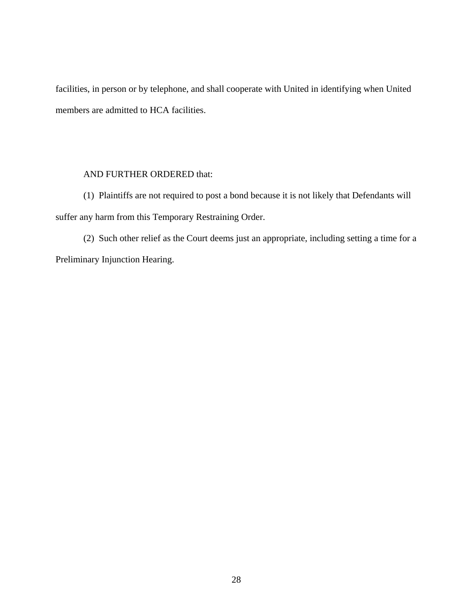facilities, in person or by telephone, and shall cooperate with United in identifying when United members are admitted to HCA facilities.

## AND FURTHER ORDERED that:

(1) Plaintiffs are not required to post a bond because it is not likely that Defendants will suffer any harm from this Temporary Restraining Order.

(2) Such other relief as the Court deems just an appropriate, including setting a time for a Preliminary Injunction Hearing.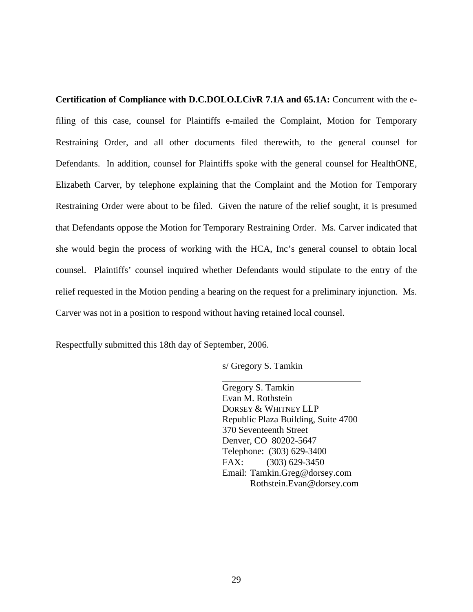**Certification of Compliance with D.C.DOLO.LCivR 7.1A and 65.1A:** Concurrent with the efiling of this case, counsel for Plaintiffs e-mailed the Complaint, Motion for Temporary Restraining Order, and all other documents filed therewith, to the general counsel for Defendants. In addition, counsel for Plaintiffs spoke with the general counsel for HealthONE, Elizabeth Carver, by telephone explaining that the Complaint and the Motion for Temporary Restraining Order were about to be filed. Given the nature of the relief sought, it is presumed that Defendants oppose the Motion for Temporary Restraining Order. Ms. Carver indicated that she would begin the process of working with the HCA, Inc's general counsel to obtain local counsel. Plaintiffs' counsel inquired whether Defendants would stipulate to the entry of the relief requested in the Motion pending a hearing on the request for a preliminary injunction. Ms. Carver was not in a position to respond without having retained local counsel.

Respectfully submitted this 18th day of September, 2006.

s/ Gregory S. Tamkin

 $\overline{a}$ 

Gregory S. Tamkin Evan M. Rothstein DORSEY & WHITNEY LLP Republic Plaza Building, Suite 4700 370 Seventeenth Street Denver, CO 80202-5647 Telephone: (303) 629-3400 FAX: (303) 629-3450 Email: Tamkin.Greg@dorsey.com Rothstein.Evan@dorsey.com